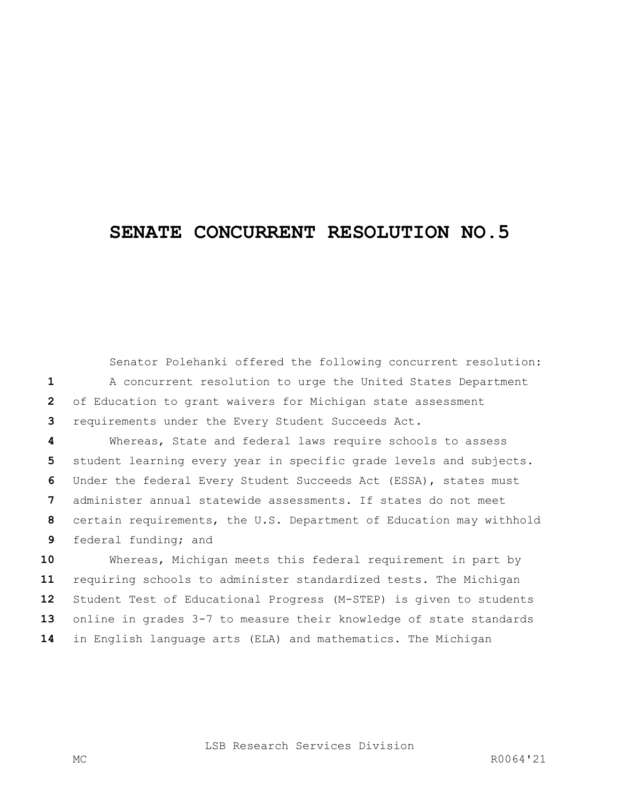## **SENATE CONCURRENT RESOLUTION NO.5**

Senator Polehanki offered the following concurrent resolution: A concurrent resolution to urge the United States Department of Education to grant waivers for Michigan state assessment requirements under the Every Student Succeeds Act.

 Whereas, State and federal laws require schools to assess student learning every year in specific grade levels and subjects. Under the federal Every Student Succeeds Act (ESSA), states must administer annual statewide assessments. If states do not meet certain requirements, the U.S. Department of Education may withhold federal funding; and

 Whereas, Michigan meets this federal requirement in part by requiring schools to administer standardized tests. The Michigan Student Test of Educational Progress (M-STEP) is given to students online in grades 3-7 to measure their knowledge of state standards in English language arts (ELA) and mathematics. The Michigan

LSB Research Services Division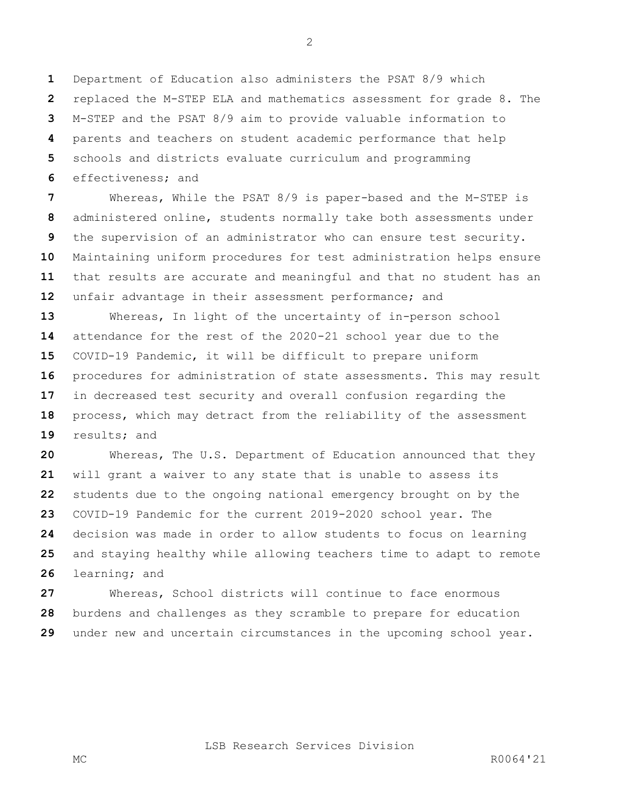Department of Education also administers the PSAT 8/9 which replaced the M-STEP ELA and mathematics assessment for grade 8. The M-STEP and the PSAT 8/9 aim to provide valuable information to parents and teachers on student academic performance that help schools and districts evaluate curriculum and programming effectiveness; and

 Whereas, While the PSAT 8/9 is paper-based and the M-STEP is administered online, students normally take both assessments under the supervision of an administrator who can ensure test security. Maintaining uniform procedures for test administration helps ensure that results are accurate and meaningful and that no student has an unfair advantage in their assessment performance; and

 Whereas, In light of the uncertainty of in-person school attendance for the rest of the 2020-21 school year due to the COVID-19 Pandemic, it will be difficult to prepare uniform procedures for administration of state assessments. This may result in decreased test security and overall confusion regarding the process, which may detract from the reliability of the assessment results; and

 Whereas, The U.S. Department of Education announced that they will grant a waiver to any state that is unable to assess its students due to the ongoing national emergency brought on by the COVID-19 Pandemic for the current 2019-2020 school year. The decision was made in order to allow students to focus on learning and staying healthy while allowing teachers time to adapt to remote learning; and

 Whereas, School districts will continue to face enormous burdens and challenges as they scramble to prepare for education under new and uncertain circumstances in the upcoming school year.